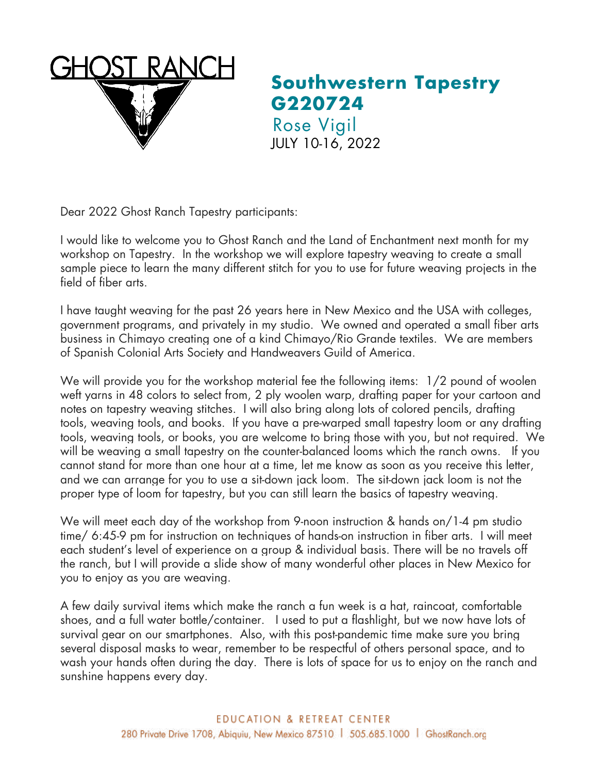

**Southwestern Tapestry G220724** Rose Vigil JULY 10-16, 2022

Dear 2022 Ghost Ranch Tapestry participants:

I would like to welcome you to Ghost Ranch and the Land of Enchantment next month for my workshop on Tapestry. In the workshop we will explore tapestry weaving to create a small sample piece to learn the many different stitch for you to use for future weaving projects in the field of fiber arts.

I have taught weaving for the past 26 years here in New Mexico and the USA with colleges, government programs, and privately in my studio. We owned and operated a small fiber arts business in Chimayo creating one of a kind Chimayo/Rio Grande textiles. We are members of Spanish Colonial Arts Society and Handweavers Guild of America.

We will provide you for the workshop material fee the following items: 1/2 pound of woolen weft yarns in 48 colors to select from, 2 ply woolen warp, drafting paper for your cartoon and notes on tapestry weaving stitches. I will also bring along lots of colored pencils, drafting tools, weaving tools, and books. If you have a pre-warped small tapestry loom or any drafting tools, weaving tools, or books, you are welcome to bring those with you, but not required. We will be weaving a small tapestry on the counter-balanced looms which the ranch owns. If you cannot stand for more than one hour at a time, let me know as soon as you receive this letter, and we can arrange for you to use a sit-down jack loom. The sit-down jack loom is not the proper type of loom for tapestry, but you can still learn the basics of tapestry weaving.

We will meet each day of the workshop from 9-noon instruction & hands on/1-4 pm studio time/ 6:45-9 pm for instruction on techniques of hands-on instruction in fiber arts. I will meet each student's level of experience on a group & individual basis. There will be no travels off the ranch, but I will provide a slide show of many wonderful other places in New Mexico for you to enjoy as you are weaving.

A few daily survival items which make the ranch a fun week is a hat, raincoat, comfortable shoes, and a full water bottle/container. I used to put a flashlight, but we now have lots of survival gear on our smartphones. Also, with this post-pandemic time make sure you bring several disposal masks to wear, remember to be respectful of others personal space, and to wash your hands often during the day. There is lots of space for us to enjoy on the ranch and sunshine happens every day.